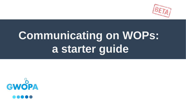# **Communicating on WOPs: a starter guide**





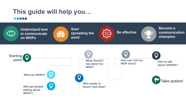## **This guide will help you…** 00000





**Start** 



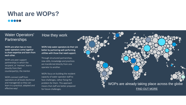# **What are WOPs?** 00000

## Water Operators' **Partnerships**

WOPs are when two or more water operators come together to share expertise and learn from each other.

#### How they work

WOPs help water operators do their job better by partnering well-performing utilities with those that need support.

WOPs are peer support partnerships in which the recipient, or 'mentee', learns directly from their counterpart(s), the mentor.

WOPs connect staff from operators on all levels (technical and managerial) so they can learn in a practical, adapted and effective way!

Through structured partnerships, new skills, knowledge and practices are transferred directly from one operator to another.

WOPs focus on building the resident capacity of water operator staff to face challenges, rather fixing the problem for them. This approach means that staff are better prepared for future challenges.

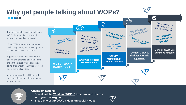# **Why get people talking about WOPs?**

The more people know and talk about WOPs, the more likely they are to support them and get involved!

More WOPs means more operators performing better, and providing more sustainable services to all of us.

Your communication will help push more people up the ladder to take or support action.

Support is also needed from a other people and organizations who create the right political, financial or social context for effective WOPs so we need to get them talking too.

#### **Champion actions:**

- **Download the [What are WOPs?](https://issuu.com/gwopa/docs/wop_brochure_single_pages) brochure and share it with your colleagues**
- **Share one of [GWOPA's videos](https://www.youtube.com/user/GWOPAChannel) on social media**





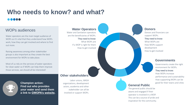#### **Other stakeholders**

Labor unions, WASH organizations, development actors, academia and other stakeholder can all be involved or support WOPs.



#### **Governments**

If a WOP is right for them How to get involved

> Governments create the right environment for WOPs. They need to know: How WOPs increase performance and sustainability How supporting WOPs can be good for their towns and cities

#### **Water Operators**

Water and Sanitation operators are the beneficiaries of WOPs. They need to know:

# **Who needs to know? and what?** 00000

What WOPs are

#### **Donors**

Donors and financiers can support WOPs. They need to know: What WOPs are How WOPs support development How to get involved

#### **General Public**

The general public should be aware and engaged if their operator is involved in a WOP. This can be a source of pride and inspiration for the community.



## WOPs audiences

Water operators are the main target audience of WOPs so it's vital that they understand how WOPs work, how they can get involved and where to find out more.

Raising awareness among other stakeholder groups is also important as they create the best environment for WOPs to take place.

Most of us rely on the services of water operators for clean water so if WOPs can help them improve those services, we should all be interested!

> **Champion action: Find out who provides your water and send them a link to [GWOPA's website](http://www.gwopa.org/).**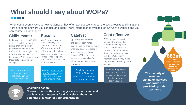## **What should I say about WOPs?** 00000

**The majority of water and sanitation services worldwide are provided by water operators**

**663m** people lack

improved drinking water sources. **Supporting** operators can help



#### **Champion action:**

**Choose which of these messages is most relevant, and use it as a starting point for discussions about the potential of a WOP for your organization**

## **Skills matter**

In the water sector, staff skills matter! Efforts to increase access or improve utility performance can fail when staff don't have the right skills to adapt new practices or technology. WOPs can develop these skills to accompany change.

### **Cost effective**

When you present WOPs to new audiences, they often ask questions about the costs, results and limitations. Here are some answers you can use and adapt. More information is available on GWOPA's website and you can contact us for support.

> WOPs are not-for-profit meaning the knowledge shared between operator staff is free. Expenses are generally limited to logistics (travel for exchanges). As a result of WOPs, many operators save money in the long-term by becoming more efficient.

## **Catalyst**

Watch our [video o](https://www.youtube.com/watch?v=k72pzWdDFqQ)n WOPs in Africa that resulted in performance improvement plans



Operators face numerous challenges, from water scarcity, climate change, rapid urbanizations, deteriorating infrastructure to a lack of finance, WOPs have been shown to be a catalyst for wider change to face these challenges.

## **Results**

WOPs have proven to increase managerial, operational and technical efficiency. Increased efficiency results in financial savings, improved services (especially to the poor), innovation, and increased staff satisfaction.

#### Find out how WOPs improved job satisfaction in our [video interviews](https://www.youtube.com/watch?v=6Fuw1tenxFs)

GWOPA's case studies [and factsheets](http://gwopa.org/en/gwopa-news/1826) show the benefits of past and ongoing WOPs

Listen to our podcast on a WOP in Fiji that resulted in big savings for the operator. (coming soon)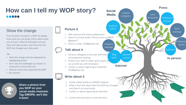# **How can I tell my WOP story?** 10000

- 1. Take a picture that shows collaboration
- @gwopa")
- 3. Send us a copy: info@gwopa.org



## Show the change

If you've been involved in a WOP, let people know what you are doing. Inform about what you and your utility do everyday to ensure clean and safe services, and show how the WOP has changed your daily work.

- Show the change that has happened by highlighting results
- Don't skip the challenges you faced, it's important to share them too
- Mention those that supported the WOP
- Be creative!



#### TIPs

- 1. Tell your colleagues at the next staff meetir annual general meeting
- can provide you with templates)
- 3. Contact us about organizing an interview: info@gwopa.org

**Share a picture from you WOP on your social media channels. Tag GWOPA, we'll like it back!** 



#### **Picture it**

#### **Write about it**

### **Talk about it**



- 
- and share it on social media
- 3. Contact us about organizing an interview:
- 4. Contact the local press to cover the story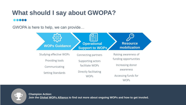# **What should I say about GWOPA?**  $\bullet\bullet\bullet\bullet\bullet$

Setting Standards

facilitate WOPs

Directly facilitating WOPs



**Communicating** 

Raising awareness of funding opportunities Increasing donor awareness

Accessing funds for WOPs

**Resource** 

**mobilization**

**Champion Action: Join the [Global WOPs Alliance t](http://gwopa.org/en/who-we-are)o find out more about ongoing WOPs and how to get involed.**



GWOPA is here to help, we can provide…